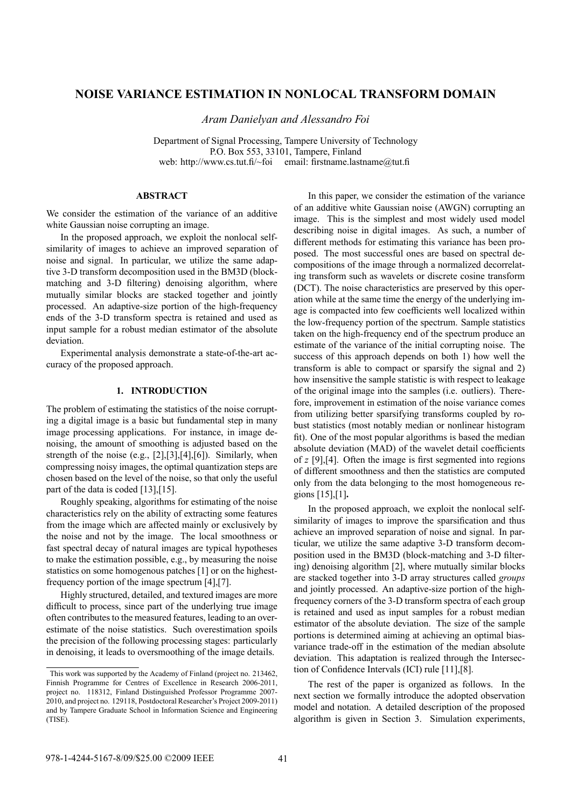# **NOISE VARIANCE ESTIMATION IN NONLOCAL TRANSFORM DOMAIN**

*Aram Danielyan and Alessandro Foi*

Department of Signal Processing, Tampere University of Technology P.O. Box 553, 33101, Tampere, Finland web: http://www.cs.tut.fi/~foi email: firstname.lastname@tut.fi

## **ABSTRACT**

We consider the estimation of the variance of an additive white Gaussian noise corrupting an image.

In the proposed approach, we exploit the nonlocal selfsimilarity of images to achieve an improved separation of noise and signal. In particular, we utilize the same adaptive 3-D transform decomposition used in the BM3D (blockmatching and 3-D filtering) denoising algorithm, where mutually similar blocks are stacked together and jointly processed. An adaptive-size portion of the high-frequency ends of the 3-D transform spectra is retained and used as input sample for a robust median estimator of the absolute deviation.

Experimental analysis demonstrate a state-of-the-art accuracy of the proposed approach.

#### **1. INTRODUCTION**

The problem of estimating the statistics of the noise corrupting a digital image is a basic but fundamental step in many image processing applications. For instance, in image denoising, the amount of smoothing is adjusted based on the strength of the noise (e.g., [2],[3],[4],[6]). Similarly, when compressing noisy images, the optimal quantization steps are chosen based on the level of the noise, so that only the useful part of the data is coded [13],[15].

Roughly speaking, algorithms for estimating of the noise characteristics rely on the ability of extracting some features from the image which are affected mainly or exclusively by the noise and not by the image. The local smoothness or fast spectral decay of natural images are typical hypotheses to make the estimation possible, e.g., by measuring the noise statistics on some homogenous patches [1] or on the highestfrequency portion of the image spectrum [4],[7].

Highly structured, detailed, and textured images are more difficult to process, since part of the underlying true image often contributes to the measured features, leading to an overestimate of the noise statistics. Such overestimation spoils the precision of the following processing stages: particularly in denoising, it leads to oversmoothing of the image details.

In this paper, we consider the estimation of the variance of an additive white Gaussian noise (AWGN) corrupting an image. This is the simplest and most widely used model describing noise in digital images. As such, a number of different methods for estimating this variance has been proposed. The most successful ones are based on spectral decompositions of the image through a normalized decorrelating transform such as wavelets or discrete cosine transform (DCT). The noise characteristics are preserved by this operation while at the same time the energy of the underlying image is compacted into few coefficients well localized within the low-frequency portion of the spectrum. Sample statistics taken on the high-frequency end of the spectrum produce an estimate of the variance of the initial corrupting noise. The success of this approach depends on both 1) how well the transform is able to compact or sparsify the signal and 2) how insensitive the sample statistic is with respect to leakage of the original image into the samples (i.e. outliers). Therefore, improvement in estimation of the noise variance comes from utilizing better sparsifying transforms coupled by robust statistics (most notably median or nonlinear histogram fit). One of the most popular algorithms is based the median absolute deviation (MAD) of the wavelet detail coefficients of *z* [9],[4]. Often the image is first segmented into regions of different smoothness and then the statistics are computed only from the data belonging to the most homogeneous regions [15],[1]**.**

In the proposed approach, we exploit the nonlocal selfsimilarity of images to improve the sparsification and thus achieve an improved separation of noise and signal. In particular, we utilize the same adaptive 3-D transform decomposition used in the BM3D (block-matching and 3-D filtering) denoising algorithm [2], where mutually similar blocks are stacked together into 3-D array structures called *groups* and jointly processed. An adaptive-size portion of the highfrequency corners of the 3-D transform spectra of each group is retained and used as input samples for a robust median estimator of the absolute deviation. The size of the sample portions is determined aiming at achieving an optimal biasvariance trade-off in the estimation of the median absolute deviation. This adaptation is realized through the Intersection of Confidence Intervals (ICI) rule [11],[8].

The rest of the paper is organized as follows. In the next section we formally introduce the adopted observation model and notation. A detailed description of the proposed algorithm is given in Section 3. Simulation experiments,

This work was supported by the Academy of Finland (project no. 213462, Finnish Programme for Centres of Excellence in Research 2006-2011, project no. 118312, Finland Distinguished Professor Programme 2007- 2010, and project no. 129118, Postdoctoral Researcher's Project 2009-2011) and by Tampere Graduate School in Information Science and Engineering (TISE).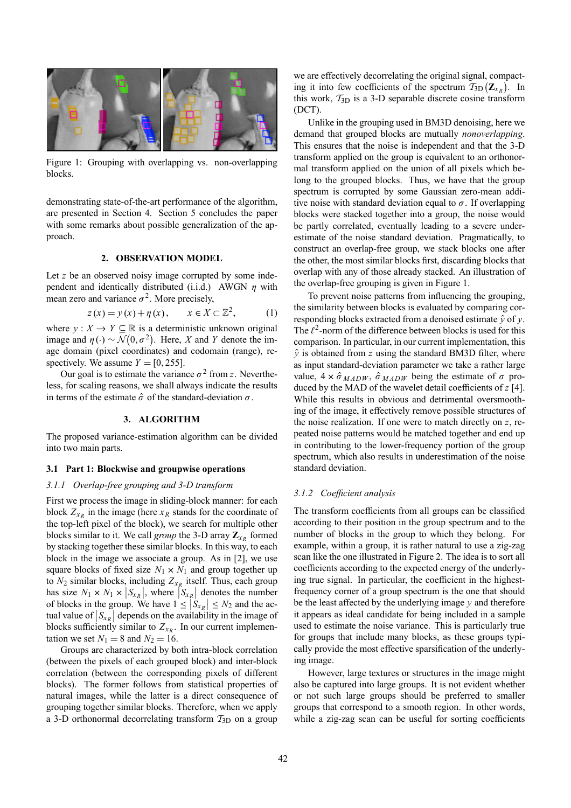

Figure 1: Grouping with overlapping vs. non-overlapping blocks.

demonstrating state-of-the-art performance of the algorithm, are presented in Section 4. Section 5 concludes the paper with some remarks about possible generalization of the approach.

### **2. OBSERVATION MODEL**

Let *z* be an observed noisy image corrupted by some independent and identically distributed (i.i.d.) AWGN  $\eta$  with mean zero and variance  $\sigma^2$ . More precisely,

$$
z(x) = y(x) + \eta(x), \qquad x \in X \subset \mathbb{Z}^2, \tag{1}
$$

where  $y: X \to Y \subseteq \mathbb{R}$  is a deterministic unknown original image and  $\eta(\cdot) \sim \mathcal{N}(0, \sigma^2)$ . Here, *X* and *Y* denote the image domain (pixel coordinates) and codomain (range), respectively. We assume  $Y = [0, 255]$ .

Our goal is to estimate the variance  $\sigma^2$  from *z*. Nevertheless, for scaling reasons, we shall always indicate the results in terms of the estimate  $\hat{\sigma}$  of the standard-deviation  $\sigma$ .

### **3. ALGORITHM**

The proposed variance-estimation algorithm can be divided into two main parts.

## **3.1 Part 1: Blockwise and groupwise operations**

### *3.1.1 Overlap-free grouping and 3-D transform*

First we process the image in sliding-block manner: for each block  $Z_{x_R}$  in the image (here  $x_R$  stands for the coordinate of the top-left pixel of the block), we search for multiple other blocks similar to it. We call *group* the 3-D array  $\mathbb{Z}_{X_R}$  formed by stacking together these similar blocks. In this way, to each block in the image we associate a group. As in [2], we use square blocks of fixed size  $N_1 \times N_1$  and group together up to  $N_2$  similar blocks, including  $Z_{x_R}$  itself. Thus, each group has size  $N_1 \times N_1 \times |S_{x_R}|$ , where  $|S_{x_R}|$  denotes the number of blocks in the group. We have  $1 \leq |S_{x_R}| \leq N_2$  and the actual value of  $|S_{x_R}|$  depends on the availability in the image of blocks sufficiently similar to  $Z_{x_R}$ . In our current implementation we set  $N_1 = 8$  and  $N_2 = 16$ .

Groups are characterized by both intra-block correlation (between the pixels of each grouped block) and inter-block correlation (between the corresponding pixels of different blocks). The former follows from statistical properties of natural images, while the latter is a direct consequence of grouping together similar blocks. Therefore, when we apply a 3-D orthonormal decorrelating transform  $T_{3D}$  on a group

we are effectively decorrelating the original signal, compacting it into few coefficients of the spectrum  $\overline{T}_{3D}(\mathbf{Z}_{x_R})$ . In this work,  $T_{3D}$  is a 3-D separable discrete cosine transform (DCT).

Unlike in the grouping used in BM3D denoising, here we demand that grouped blocks are mutually *nonoverlapping*. This ensures that the noise is independent and that the 3-D transform applied on the group is equivalent to an orthonormal transform applied on the union of all pixels which belong to the grouped blocks. Thus, we have that the group spectrum is corrupted by some Gaussian zero-mean additive noise with standard deviation equal to  $\sigma$ . If overlapping blocks were stacked together into a group, the noise would be partly correlated, eventually leading to a severe underestimate of the noise standard deviation. Pragmatically, to construct an overlap-free group, we stack blocks one after the other, the most similar blocks first, discarding blocks that overlap with any of those already stacked. An illustration of the overlap-free grouping is given in Figure 1.

To prevent noise patterns from influencing the grouping, the similarity between blocks is evaluated by comparing corresponding blocks extracted from a denoised estimate  $\hat{y}$  of *y*. The  $\ell^2$ -norm of the difference between blocks is used for this comparison. In particular, in our current implementation, this  $\hat{y}$  is obtained from *z* using the standard BM3D filter, where as input standard-deviation parameter we take a rather large value,  $4 \times \hat{\sigma}_{MADW}$ ,  $\hat{\sigma}_{MADW}$  being the estimate of  $\sigma$  produced by the MAD of the wavelet detail coefficients of *z* [4]. While this results in obvious and detrimental oversmoothing of the image, it effectively remove possible structures of the noise realization. If one were to match directly on *z*, repeated noise patterns would be matched together and end up in contributing to the lower-frequency portion of the group spectrum, which also results in underestimation of the noise standard deviation.

### *3.1.2 Coefficient analysis*

The transform coefficients from all groups can be classified according to their position in the group spectrum and to the number of blocks in the group to which they belong. For example, within a group, it is rather natural to use a zig-zag scan like the one illustrated in Figure 2. The idea is to sort all coefficients according to the expected energy of the underlying true signal. In particular, the coefficient in the highestfrequency corner of a group spectrum is the one that should be the least affected by the underlying image *y* and therefore it appears as ideal candidate for being included in a sample used to estimate the noise variance. This is particularly true for groups that include many blocks, as these groups typically provide the most effective sparsification of the underlying image.

However, large textures or structures in the image might also be captured into large groups. It is not evident whether or not such large groups should be preferred to smaller groups that correspond to a smooth region. In other words, while a zig-zag scan can be useful for sorting coefficients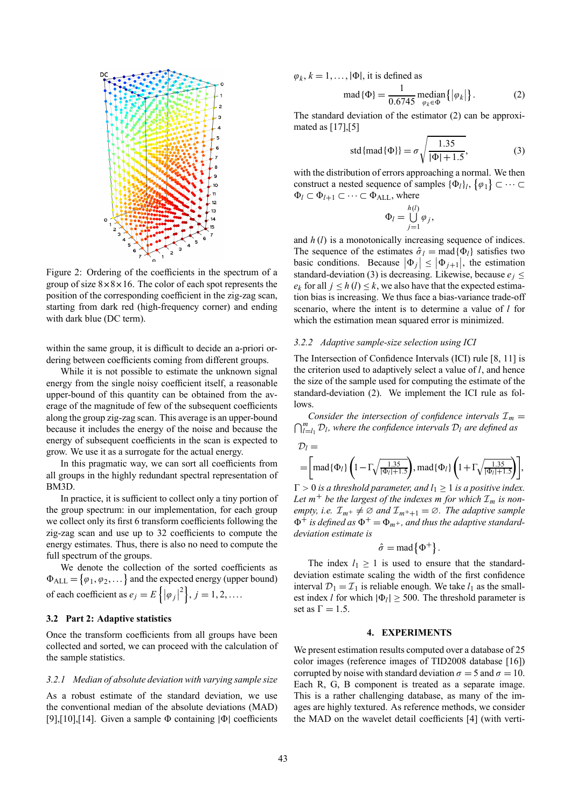

Figure 2: Ordering of the coefficients in the spectrum of a group of size  $8 \times 8 \times 16$ . The color of each spot represents the position of the corresponding coefficient in the zig-zag scan, starting from dark red (high-frequency corner) and ending with dark blue (DC term).

within the same group, it is difficult to decide an a-priori ordering between coefficients coming from different groups.

While it is not possible to estimate the unknown signal energy from the single noisy coefficient itself, a reasonable upper-bound of this quantity can be obtained from the average of the magnitude of few of the subsequent coefficients along the group zig-zag scan. This average is an upper-bound because it includes the energy of the noise and because the energy of subsequent coefficients in the scan is expected to grow. We use it as a surrogate for the actual energy.

In this pragmatic way, we can sort all coefficients from all groups in the highly redundant spectral representation of BM3D.

In practice, it is sufficient to collect only a tiny portion of the group spectrum: in our implementation, for each group we collect only its first 6 transform coefficients following the zig-zag scan and use up to 32 coefficients to compute the energy estimates. Thus, there is also no need to compute the full spectrum of the groups.

We denote the collection of the sorted coefficients as  $\Phi_{ALL} = \{\varphi_1, \varphi_2, \dots\}$  and the expected energy (upper bound) of each coefficient as  $e_j = E\left\{ |\varphi_j|^2 \right\}$ ,  $j = 1, 2, ...$ 

### **3.2 Part 2: Adaptive statistics**

Once the transform coefficients from all groups have been collected and sorted, we can proceed with the calculation of the sample statistics.

#### *3.2.1 Median of absolute deviation with varying sample size*

As a robust estimate of the standard deviation, we use the conventional median of the absolute deviations (MAD) [9],[10],[14]. Given a sample  $\Phi$  containing  $|\Phi|$  coefficients

 $\varphi_k$ ,  $k = 1, \ldots, |\Phi|$ , it is defined as

$$
\text{mad}\{\Phi\} = \frac{1}{0.6745} \text{ median}\{|\varphi_k|\}. \tag{2}
$$

The standard deviation of the estimator (2) can be approximated as [17],[5]

std{mad
$$
\{\Phi\}\}
$$
 =  $\sigma \sqrt{\frac{1.35}{|\Phi| + 1.5}}$ , (3)

with the distribution of errors approaching a normal. We then construct a nested sequence of samples  $\{\Phi_l\}_l$ ,  $\{\varphi_1\} \subset \cdots \subset \varphi_l$  $\Phi_l$  ⊂  $\Phi_{l+1}$  ⊂  $\cdots$  ⊂  $\Phi_{ALL}$ , where

$$
\Phi_l = \bigcup_{j=1}^{h(l)} \varphi_j,
$$

and *h* (*l*) is a monotonically increasing sequence of indices. The sequence of the estimates  $\hat{\sigma}_l = \text{mad}\{\Phi_l\}$  satisfies two basic conditions. Because  $|\Phi_j| \leq |\Phi_{j+1}|$ , the estimation standard-deviation (3) is decreasing. Likewise, because  $e_i \leq$  $e_k$  for all  $j \leq h$  (*l*)  $\leq k$ , we also have that the expected estimation bias is increasing. We thus face a bias-variance trade-off scenario, where the intent is to determine a value of *l* for which the estimation mean squared error is minimized.

### *3.2.2 Adaptive sample-size selection using ICI*

The Intersection of Confidence Intervals (ICI) rule [8, 11] is the criterion used to adaptively select a value of *l*, and hence the size of the sample used for computing the estimate of the standard-deviation (2). We implement the ICI rule as follows.

 $\bigcap_{l=l_1}^{m} \mathcal{D}_l$ , where the confidence intervals  $\mathcal{D}_l$  are defined as *Consider the intersection of confidence intervals*  $\mathcal{I}_m$  =

$$
\mathcal{D}_l = \left[\text{mad}\{\Phi_l\}\left(1 - \Gamma\sqrt{\frac{1.35}{|\Phi_l|+1.5}}\right), \text{mad}\{\Phi_l\}\left(1 + \Gamma\sqrt{\frac{1.35}{|\Phi_l|+1.5}}\right)\right],
$$

 $\Gamma > 0$  *is a threshold parameter, and l*<sub>1</sub>  $\geq$  1 *is a positive index.* Let  $m^+$  be the largest of the indexes m for which  $\mathcal{I}_m$  is non*empty, i.e.*  $\mathcal{I}_{m^+} \neq \emptyset$  *and*  $\mathcal{I}_{m^++1} = \emptyset$ *. The adaptive sample*  $\Phi^+$  *is defined as*  $\Phi^+ = \Phi_{m^+}$ *, and thus the adaptive standarddeviation estimate is*

$$
\hat{\sigma} = \text{mad}\left\{\Phi^+\right\}.
$$

The index  $l_1 \geq 1$  is used to ensure that the standarddeviation estimate scaling the width of the first confidence interval  $\mathcal{D}_1 = \mathcal{I}_1$  is reliable enough. We take  $l_1$  as the smallest index *l* for which  $|\Phi_l| \geq 500$ . The threshold parameter is set as  $\Gamma = 1.5$ .

#### **4. EXPERIMENTS**

We present estimation results computed over a database of 25 color images (reference images of TID2008 database [16]) corrupted by noise with standard deviation  $\sigma = 5$  and  $\sigma = 10$ . Each R, G, B component is treated as a separate image. This is a rather challenging database, as many of the images are highly textured. As reference methods, we consider the MAD on the wavelet detail coefficients [4] (with verti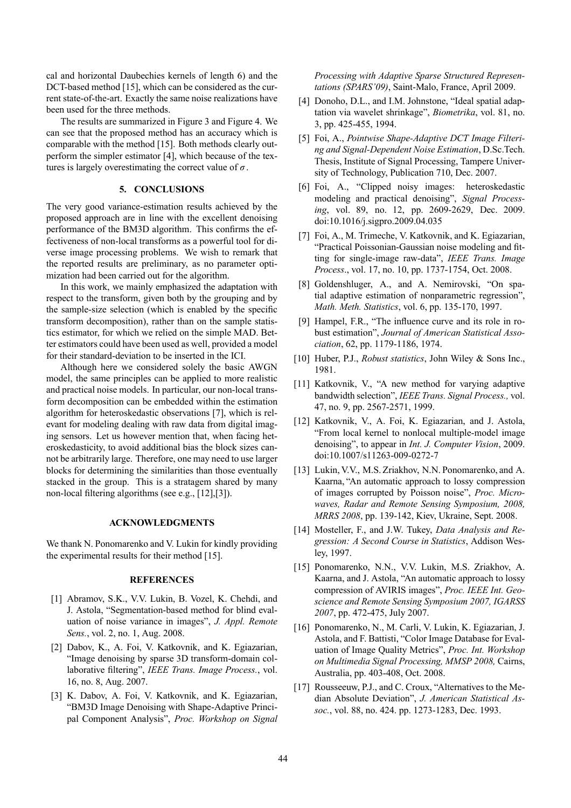cal and horizontal Daubechies kernels of length 6) and the DCT-based method [15], which can be considered as the current state-of-the-art. Exactly the same noise realizations have been used for the three methods.

The results are summarized in Figure 3 and Figure 4. We can see that the proposed method has an accuracy which is comparable with the method [15]. Both methods clearly outperform the simpler estimator [4], which because of the textures is largely overestimating the correct value of  $\sigma$ .

#### **5. CONCLUSIONS**

The very good variance-estimation results achieved by the proposed approach are in line with the excellent denoising performance of the BM3D algorithm. This confirms the effectiveness of non-local transforms as a powerful tool for diverse image processing problems. We wish to remark that the reported results are preliminary, as no parameter optimization had been carried out for the algorithm.

In this work, we mainly emphasized the adaptation with respect to the transform, given both by the grouping and by the sample-size selection (which is enabled by the specific transform decomposition), rather than on the sample statistics estimator, for which we relied on the simple MAD. Better estimators could have been used as well, provided a model for their standard-deviation to be inserted in the ICI.

Although here we considered solely the basic AWGN model, the same principles can be applied to more realistic and practical noise models. In particular, our non-local transform decomposition can be embedded within the estimation algorithm for heteroskedastic observations [7], which is relevant for modeling dealing with raw data from digital imaging sensors. Let us however mention that, when facing heteroskedasticity, to avoid additional bias the block sizes cannot be arbitrarily large. Therefore, one may need to use larger blocks for determining the similarities than those eventually stacked in the group. This is a stratagem shared by many non-local filtering algorithms (see e.g., [12],[3]).

### **ACKNOWLEDGMENTS**

We thank N. Ponomarenko and V. Lukin for kindly providing the experimental results for their method [15].

#### **REFERENCES**

- [1] Abramov, S.K., V.V. Lukin, B. Vozel, K. Chehdi, and J. Astola, "Segmentation-based method for blind evaluation of noise variance in images", *J. Appl. Remote Sens.*, vol. 2, no. 1, Aug. 2008.
- [2] Dabov, K., A. Foi, V. Katkovnik, and K. Egiazarian, "Image denoising by sparse 3D transform-domain collaborative filtering", *IEEE Trans. Image Process.*, vol. 16, no. 8, Aug. 2007.
- [3] K. Dabov, A. Foi, V. Katkovnik, and K. Egiazarian, ìBM3D Image Denoising with Shape-Adaptive Principal Component Analysis", *Proc. Workshop on Signal*

*Processing with Adaptive Sparse Structured Represen*tations (SPARS'09), Saint-Malo, France, April 2009.

- [4] Donoho, D.L., and I.M. Johnstone, "Ideal spatial adaptation via wavelet shrinkage", *Biometrika*, vol. 81, no. 3, pp. 425-455, 1994.
- [5] Foi, A., *Pointwise Shape-Adaptive DCT Image Filtering and Signal-Dependent Noise Estimation*, D.Sc.Tech. Thesis, Institute of Signal Processing, Tampere University of Technology, Publication 710, Dec. 2007.
- [6] Foi, A., "Clipped noisy images: heteroskedastic modeling and practical denoising", *Signal Processing*, vol. 89, no. 12, pp. 2609-2629, Dec. 2009. doi:10.1016/j.sigpro.2009.04.035
- [7] Foi, A., M. Trimeche, V. Katkovnik, and K. Egiazarian, ìPractical Poissonian-Gaussian noise modeling and fitting for single-image raw-dataî, *IEEE Trans. Image Process*., vol. 17, no. 10, pp. 1737-1754, Oct. 2008.
- [8] Goldenshluger, A., and A. Nemirovski, "On spatial adaptive estimation of nonparametric regression", *Math. Meth. Statistics*, vol. 6, pp. 135-170, 1997.
- [9] Hampel, F.R., "The influence curve and its role in robust estimationî, *Journal of American Statistical Association*, 62, pp. 1179-1186, 1974.
- [10] Huber, P.J., *Robust statistics*, John Wiley & Sons Inc., 1981.
- [11] Katkovnik, V., "A new method for varying adaptive bandwidth selectionî, *IEEE Trans. Signal Process.,* vol. 47, no. 9, pp. 2567-2571, 1999.
- [12] Katkovnik, V., A. Foi, K. Egiazarian, and J. Astola, ìFrom local kernel to nonlocal multiple-model image denoisingî, to appear in *Int. J. Computer Vision*, 2009. doi:10.1007/s11263-009-0272-7
- [13] Lukin, V.V., M.S. Zriakhov, N.N. Ponomarenko, and A. Kaarna, "An automatic approach to lossy compression of images corrupted by Poisson noise", *Proc. Microwaves, Radar and Remote Sensing Symposium, 2008, MRRS 2008*, pp. 139-142, Kiev, Ukraine, Sept. 2008.
- [14] Mosteller, F., and J.W. Tukey, *Data Analysis and Regression: A Second Course in Statistics*, Addison Wesley, 1997.
- [15] Ponomarenko, N.N., V.V. Lukin, M.S. Zriakhov, A. Kaarna, and J. Astola, "An automatic approach to lossy compression of AVIRIS images", Proc. IEEE Int. Geo*science and Remote Sensing Symposium 2007, IGARSS 2007*, pp. 472-475, July 2007.
- [16] Ponomarenko, N., M. Carli, V. Lukin, K. Egiazarian, J. Astola, and F. Battisti, "Color Image Database for Evaluation of Image Quality Metrics", Proc. Int. Workshop *on Multimedia Signal Processing, MMSP 2008,* Cairns, Australia, pp. 403-408, Oct. 2008.
- [17] Rousseeuw, P.J., and C. Croux, "Alternatives to the Median Absolute Deviationî, *J. American Statistical Assoc.*, vol. 88, no. 424. pp. 1273-1283, Dec. 1993.